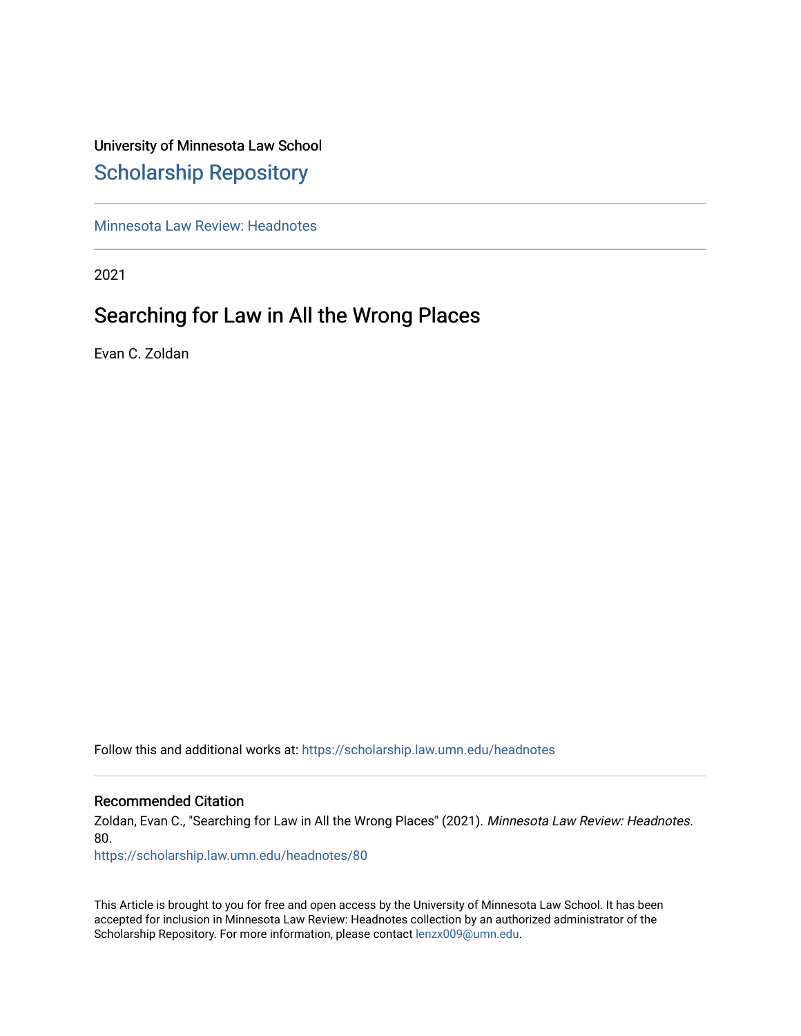# University of Minnesota Law School [Scholarship Repository](https://scholarship.law.umn.edu/)

[Minnesota Law Review: Headnotes](https://scholarship.law.umn.edu/headnotes) 

2021

# Searching for Law in All the Wrong Places

Evan C. Zoldan

Follow this and additional works at: [https://scholarship.law.umn.edu/headnotes](https://scholarship.law.umn.edu/headnotes?utm_source=scholarship.law.umn.edu%2Fheadnotes%2F80&utm_medium=PDF&utm_campaign=PDFCoverPages) 

# Recommended Citation

Zoldan, Evan C., "Searching for Law in All the Wrong Places" (2021). Minnesota Law Review: Headnotes. 80.

[https://scholarship.law.umn.edu/headnotes/80](https://scholarship.law.umn.edu/headnotes/80?utm_source=scholarship.law.umn.edu%2Fheadnotes%2F80&utm_medium=PDF&utm_campaign=PDFCoverPages)

This Article is brought to you for free and open access by the University of Minnesota Law School. It has been accepted for inclusion in Minnesota Law Review: Headnotes collection by an authorized administrator of the Scholarship Repository. For more information, please contact [lenzx009@umn.edu.](mailto:lenzx009@umn.edu)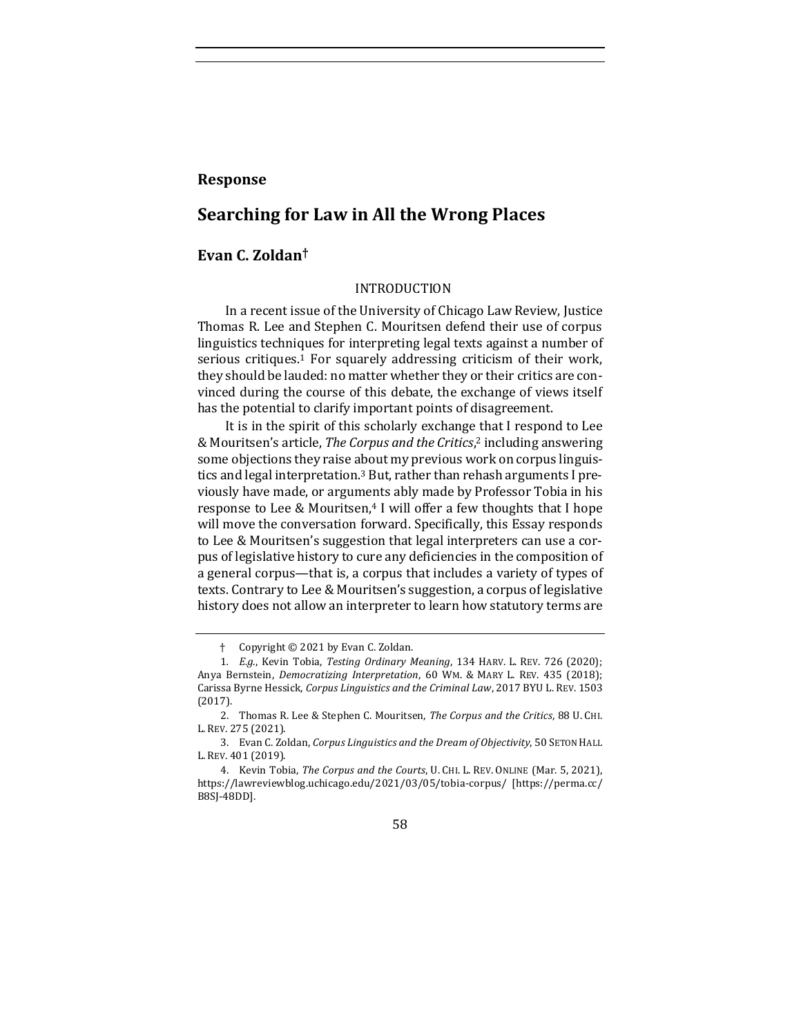# **Response**

# **Searching for Law in All the Wrong Places**

# **Evan C. Zoldan†**

## <span id="page-1-0"></span>INTRODUCTION

In a recent issue of the University of Chicago Law Review, Justice Thomas R. Lee and Stephen C. Mouritsen defend their use of corpus linguistics techniques for interpreting legal texts against a number of serious critiques.<sup>1</sup> For squarely addressing criticism of their work, they should be lauded: no matter whether they or their critics are convinced during the course of this debate, the exchange of views itself has the potential to clarify important points of disagreement.

<span id="page-1-1"></span>It is in the spirit of this scholarly exchange that I respond to Lee & Mouritsen's article, *The Corpus and the Critics*, <sup>2</sup> including answering some objections they raise about my previous work on corpus linguistics and legal interpretation.<sup>3</sup> But, rather than rehash arguments I previously have made, or arguments ably made by Professor Tobia in his response to Lee & Mouritsen,<sup>4</sup> I will offer a few thoughts that I hope will move the conversation forward. Specifically, this Essay responds to Lee & Mouritsen's suggestion that legal interpreters can use a corpus of legislative history to cure any deficiencies in the composition of a general corpus—that is, a corpus that includes a variety of types of texts. Contrary to Lee & Mouritsen's suggestion, a corpus of legislative history does not allow an interpreter to learn how statutory terms are

58

<sup>†</sup> Copyright © 2021 by Evan C. Zoldan.

<sup>1</sup>*. E.g.*, Kevin Tobia, *Testing Ordinary Meaning*, 134 HARV. L. REV. 726 (2020); Anya Bernstein, *Democratizing Interpretation*, 60 WM. & MARY L. REV. 435 (2018); Carissa Byrne Hessick, *Corpus Linguistics and the Criminal Law*, 2017 BYU L. REV. 1503 (2017).

<sup>2.</sup> Thomas R. Lee & Stephen C. Mouritsen, *The Corpus and the Critics*, 88 U. CHI. L. REV. 275 (2021).

<sup>3.</sup> Evan C. Zoldan, *Corpus Linguistics and the Dream of Objectivity*, 50 SETON HALL L. REV. 401 (2019).

<sup>4.</sup> Kevin Tobia, *The Corpus and the Courts*, U. CHI. L. REV. ONLINE (Mar. 5, 2021), https://lawreviewblog.uchicago.edu/2021/03/05/tobia-corpus/ [https://perma.cc/ B8SJ-48DD].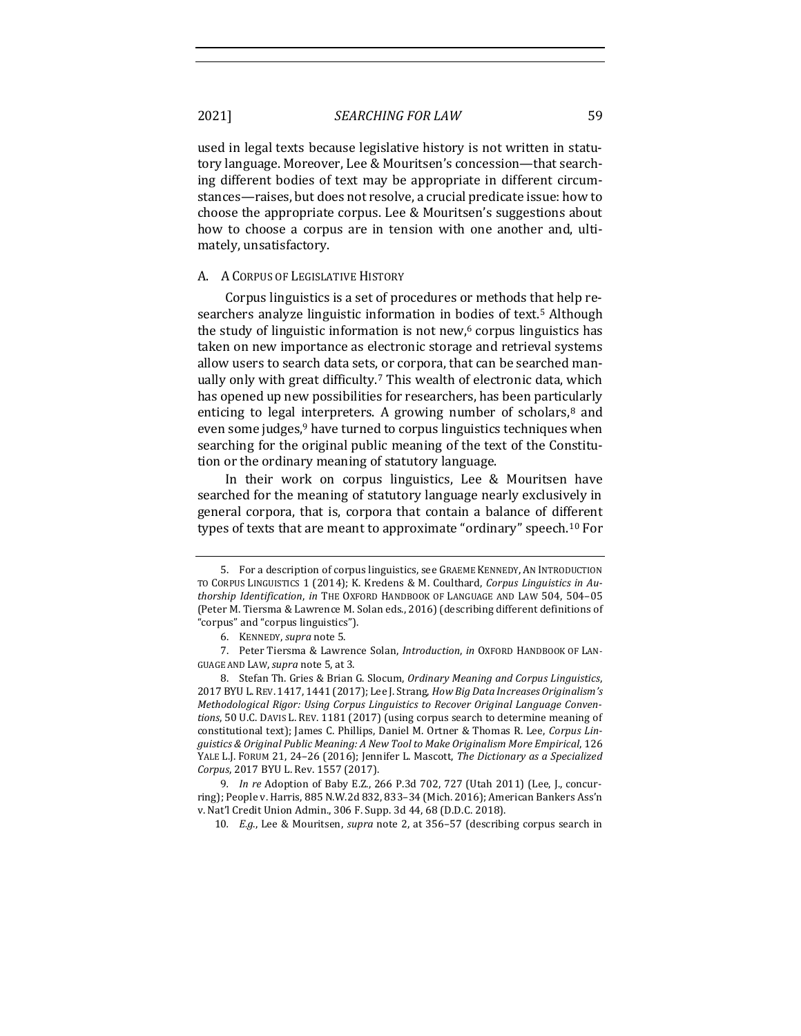used in legal texts because legislative history is not written in statutory language. Moreover, Lee & Mouritsen's concession—that searching different bodies of text may be appropriate in different circumstances—raises, but does not resolve, a crucial predicate issue: how to choose the appropriate corpus. Lee & Mouritsen's suggestions about how to choose a corpus are in tension with one another and, ultimately, unsatisfactory.

#### A. A CORPUS OF LEGISLATIVE HISTORY

<span id="page-2-0"></span>Corpus linguistics is a set of procedures or methods that help researchers analyze linguistic information in bodies of text.<sup>5</sup> Although the study of linguistic information is not new, $6$  corpus linguistics has taken on new importance as electronic storage and retrieval systems allow users to search data sets, or corpora, that can be searched manually only with great difficulty.<sup>7</sup> This wealth of electronic data, which has opened up new possibilities for researchers, has been particularly enticing to legal interpreters. A growing number of scholars,<sup>8</sup> and even some judges,<sup>9</sup> have turned to corpus linguistics techniques when searching for the original public meaning of the text of the Constitution or the ordinary meaning of statutory language.

In their work on corpus linguistics, Lee & Mouritsen have searched for the meaning of statutory language nearly exclusively in general corpora, that is, corpora that contain a balance of different types of texts that are meant to approximate "ordinary" speech.<sup>10</sup> For

<sup>5.</sup> For a description of corpus linguistics, see GRAEME KENNEDY, AN INTRODUCTION TO CORPUS LINGUISTICS 1 (2014); K. Kredens & M. Coulthard, *Corpus Linguistics in Authorship Identification*, *in* THE OXFORD HANDBOOK OF LANGUAGE AND LAW 504, 504–05 (Peter M. Tiersma & Lawrence M. Solan eds., 2016) (describing different definitions of "corpus" and "corpus linguistics").

<sup>6.</sup> KENNEDY, *supra* not[e 5.](#page-2-0)

<sup>7.</sup> Peter Tiersma & Lawrence Solan, *Introduction*, *in* OXFORD HANDBOOK OF LAN-GUAGE AND LAW, *supra* not[e 5,](#page-2-0) at 3.

<sup>8.</sup> Stefan Th. Gries & Brian G. Slocum, *Ordinary Meaning and Corpus Linguistics*, 2017 BYU L.REV. 1417, 1441 (2017); Lee J. Strang, *How Big Data Increases Originalism's Methodological Rigor: Using Corpus Linguistics to Recover Original Language Conventions*, 50 U.C. DAVIS L. REV. 1181 (2017) (using corpus search to determine meaning of constitutional text); James C. Phillips, Daniel M. Ortner & Thomas R. Lee, *Corpus Linguistics & Original Public Meaning: A New Tool to Make Originalism More Empirical*, 126 YALE L.J. FORUM 21, 24–26 (2016); Jennifer L. Mascott, *The Dictionary as a Specialized Corpus*, 2017 BYU L. Rev. 1557 (2017).

<sup>9</sup>*. In re* Adoption of Baby E.Z., 266 P.3d 702, 727 (Utah 2011) (Lee, J., concurring); People v. Harris, 885 N.W.2d 832, 833–34 (Mich. 2016); American Bankers Ass'n v. Nat'l Credit Union Admin., 306 F. Supp. 3d 44, 68 (D.D.C. 2018).

<sup>10</sup>*. E.g*., Lee & Mouritsen, *supra* note [2,](#page-1-0) at 356–57 (describing corpus search in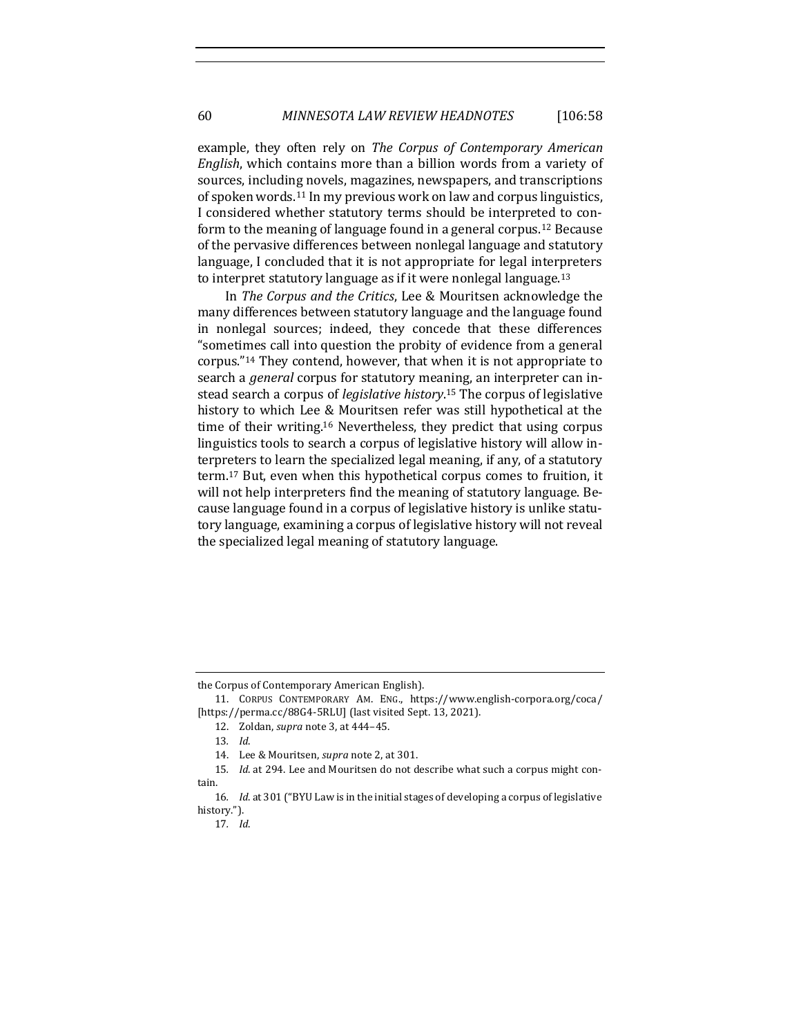example, they often rely on *The Corpus of Contemporary American English*, which contains more than a billion words from a variety of sources, including novels, magazines, newspapers, and transcriptions of spoken words.<sup>11</sup> In my previous work on law and corpus linguistics, I considered whether statutory terms should be interpreted to conform to the meaning of language found in a general corpus.<sup>12</sup> Because of the pervasive differences between nonlegal language and statutory language, I concluded that it is not appropriate for legal interpreters to interpret statutory language as if it were nonlegal language.<sup>13</sup>

In *The Corpus and the Critics*, Lee & Mouritsen acknowledge the many differences between statutory language and the language found in nonlegal sources; indeed, they concede that these differences "sometimes call into question the probity of evidence from a general corpus."<sup>14</sup> They contend, however, that when it is not appropriate to search a *general* corpus for statutory meaning, an interpreter can instead search a corpus of *legislative history*. <sup>15</sup> The corpus of legislative history to which Lee & Mouritsen refer was still hypothetical at the time of their writing.<sup>16</sup> Nevertheless, they predict that using corpus linguistics tools to search a corpus of legislative history will allow interpreters to learn the specialized legal meaning, if any, of a statutory term.<sup>17</sup> But, even when this hypothetical corpus comes to fruition, it will not help interpreters find the meaning of statutory language. Because language found in a corpus of legislative history is unlike statutory language, examining a corpus of legislative history will not reveal the specialized legal meaning of statutory language.

the Corpus of Contemporary American English).

<sup>11.</sup> CORPUS CONTEMPORARY AM. ENG., https://www.english-corpora.org/coca/ [https://perma.cc/88G4-5RLU] (last visited Sept. 13, 2021).

<sup>12.</sup> Zoldan, *supra* note [3,](#page-1-1) at 444–45.

<sup>13</sup>*. Id*.

<sup>14.</sup> Lee & Mouritsen, *supra* not[e 2,](#page-1-0) at 301.

<sup>15</sup>*. Id*. at 294. Lee and Mouritsen do not describe what such a corpus might contain.

<sup>16</sup>*. Id*. at 301 ("BYU Law is in the initial stages of developing a corpus of legislative history.").

<sup>17</sup>*. Id*.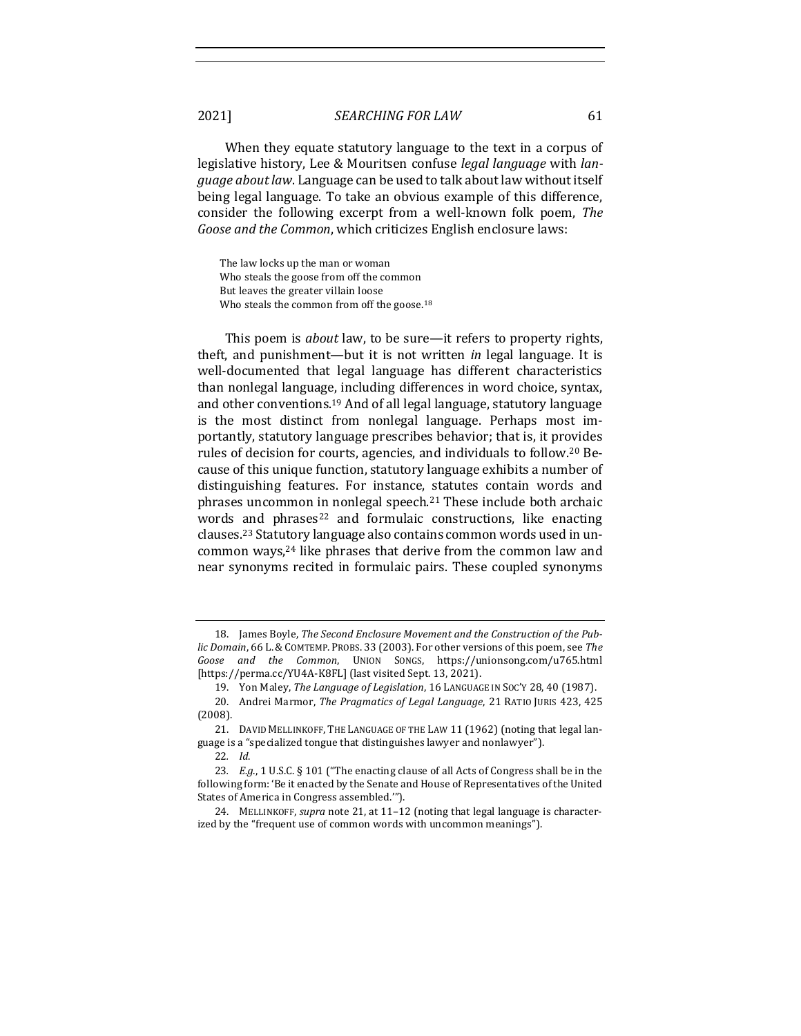When they equate statutory language to the text in a corpus of legislative history, Lee & Mouritsen confuse *legal language* with *language about law*. Language can be used to talk about law without itself being legal language. To take an obvious example of this difference, consider the following excerpt from a well-known folk poem, *The Goose and the Common*, which criticizes English enclosure laws:

The law locks up the man or woman Who steals the goose from off the common But leaves the greater villain loose Who steals the common from off the goose.<sup>18</sup>

<span id="page-4-1"></span>This poem is *about* law, to be sure—it refers to property rights, theft, and punishment—but it is not written *in* legal language. It is well-documented that legal language has different characteristics than nonlegal language, including differences in word choice, syntax, and other conventions.<sup>19</sup> And of all legal language, statutory language is the most distinct from nonlegal language. Perhaps most importantly, statutory language prescribes behavior; that is, it provides rules of decision for courts, agencies, and individuals to follow.<sup>20</sup> Because of this unique function, statutory language exhibits a number of distinguishing features. For instance, statutes contain words and phrases uncommon in nonlegal speech.<sup>21</sup> These include both archaic words and phrases<sup>22</sup> and formulaic constructions, like enacting clauses.<sup>23</sup> Statutory language also contains common words used in uncommon ways,<sup>24</sup> like phrases that derive from the common law and near synonyms recited in formulaic pairs. These coupled synonyms

22*. Id*.

<span id="page-4-0"></span><sup>18.</sup> James Boyle, *The Second Enclosure Movement and the Construction of the Public Domain*, 66 L.&COMTEMP. PROBS. 33 (2003). For other versions of this poem, see *The Goose and the Common*, UNION SONGS, https://unionsong.com/u765.html [https://perma.cc/YU4A-K8FL] (last visited Sept. 13, 2021).

<sup>19.</sup> Yon Maley, *The Language of Legislation*, 16 LANGUAGE IN SOC'Y 28, 40 (1987).

<sup>20.</sup> Andrei Marmor, *The Pragmatics of Legal Language*, 21 RATIO JURIS 423, 425 (2008).

<sup>21.</sup> DAVID MELLINKOFF, THE LANGUAGE OF THE LAW 11 (1962) (noting that legal language is a "specialized tongue that distinguishes lawyer and nonlawyer").

<sup>23</sup>*. E.g*., 1 U.S.C. § 101 ("The enacting clause of all Acts of Congress shall be in the following form: 'Be it enacted by the Senate and House of Representatives of the United States of America in Congress assembled.'").

<sup>24.</sup> MELLINKOFF, *supra* not[e 21,](#page-4-0) at 11–12 (noting that legal language is characterized by the "frequent use of common words with uncommon meanings").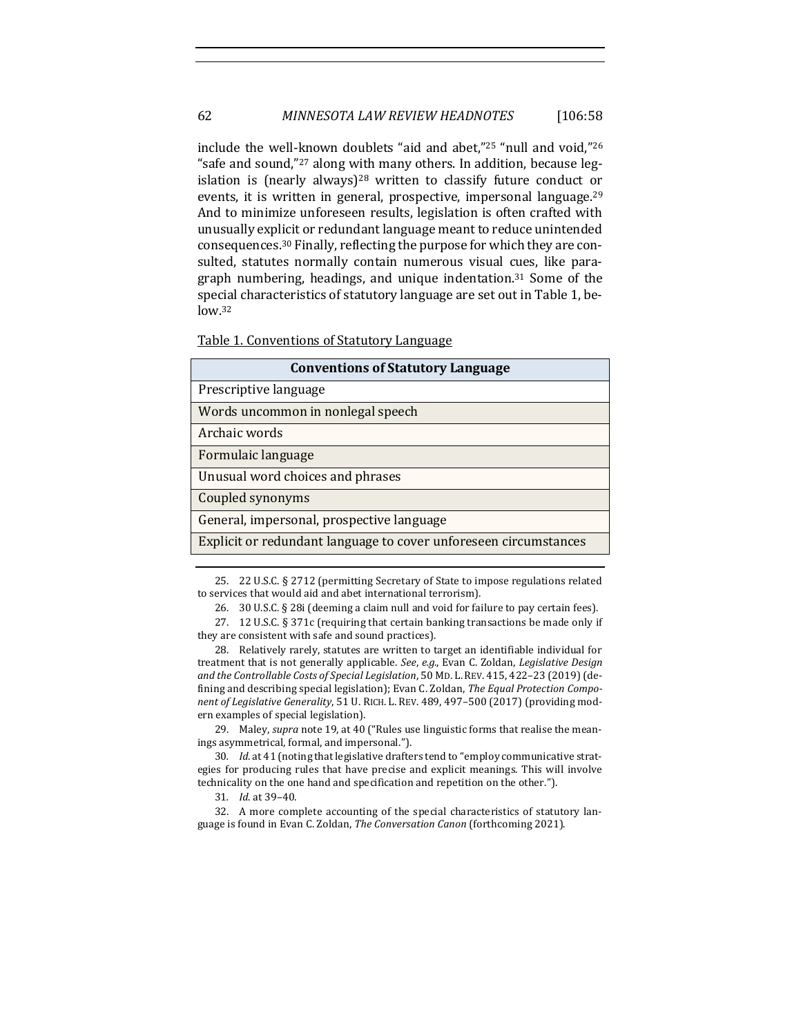# 62 *MINNESOTA LAW REVIEW HEADNOTES* [106:58

include the well-known doublets "aid and abet,"<sup>25</sup> "null and void,"<sup>26</sup> "safe and sound,"<sup>27</sup> along with many others. In addition, because legislation is (nearly always)<sup>28</sup> written to classify future conduct or events, it is written in general, prospective, impersonal language.<sup>29</sup> And to minimize unforeseen results, legislation is often crafted with unusually explicit or redundant language meant to reduce unintended consequences.<sup>30</sup> Finally, reflecting the purpose for which they are consulted, statutes normally contain numerous visual cues, like paragraph numbering, headings, and unique indentation.<sup>31</sup> Some of the special characteristics of statutory language are set out in Table 1, below.<sup>32</sup>

<span id="page-5-0"></span>Table 1. Conventions of Statutory Language

| <b>Conventions of Statutory Language</b>                         |  |
|------------------------------------------------------------------|--|
| Prescriptive language                                            |  |
| Words uncommon in nonlegal speech                                |  |
| Archaic words                                                    |  |
| Formulaic language                                               |  |
| Unusual word choices and phrases                                 |  |
| Coupled synonyms                                                 |  |
| General, impersonal, prospective language                        |  |
| Explicit or redundant language to cover unforeseen circumstances |  |
|                                                                  |  |

<sup>25.</sup> 22 U.S.C. § 2712 (permitting Secretary of State to impose regulations related to services that would aid and abet international terrorism).

28. Relatively rarely, statutes are written to target an identifiable individual for treatment that is not generally applicable. *See*, *e.g.*, Evan C. Zoldan, *Legislative Design and the Controllable Costs of Special Legislation*, 50 MD. L.REV. 415, 422–23 (2019) (defining and describing special legislation); Evan C. Zoldan, *The Equal Protection Component of Legislative Generality*, 51 U. RICH. L. REV. 489, 497–500 (2017) (providing modern examples of special legislation).

29. Maley, *supra* not[e 19,](#page-4-1) at 40 ("Rules use linguistic forms that realise the meanings asymmetrical, formal, and impersonal.").

30*. Id*. at 41 (noting that legislative drafters tend to "employ communicative strategies for producing rules that have precise and explicit meanings. This will involve technicality on the one hand and specification and repetition on the other.").

31*. Id*. at 39–40.

32. A more complete accounting of the special characteristics of statutory language is found in Evan C. Zoldan, *The Conversation Canon* (forthcoming 2021).

<sup>26.</sup> 30 U.S.C. § 28i (deeming a claim null and void for failure to pay certain fees).

<sup>27.</sup> 12 U.S.C. § 371c (requiring that certain banking transactions be made only if they are consistent with safe and sound practices).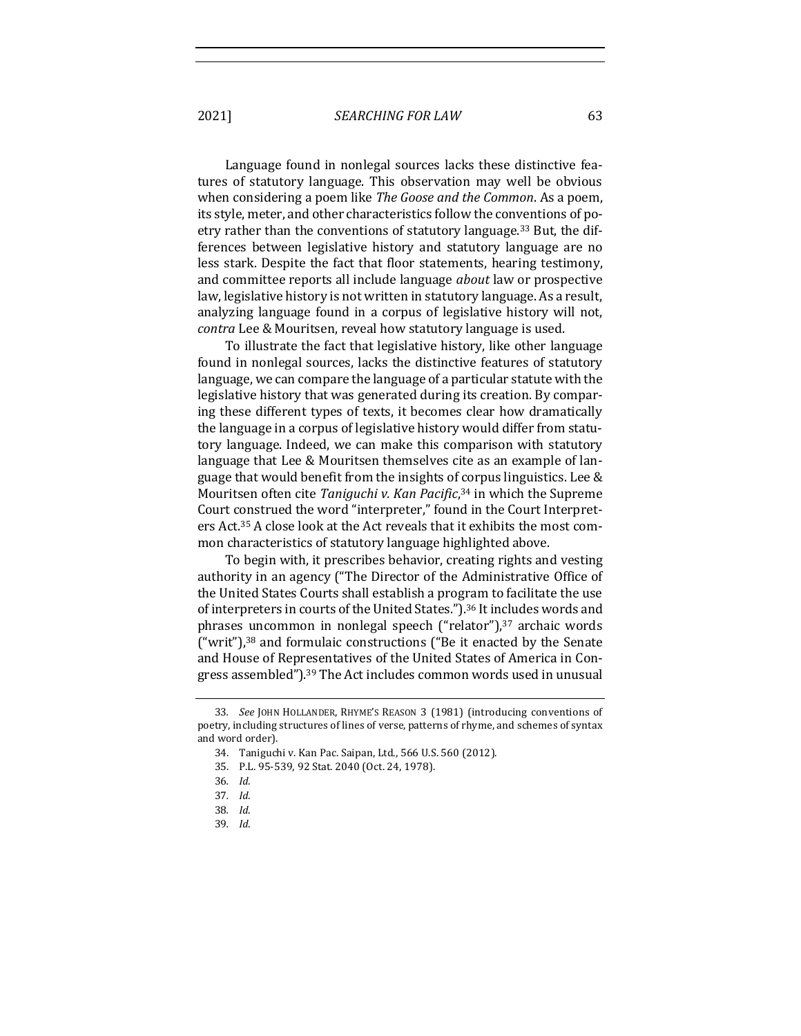Language found in nonlegal sources lacks these distinctive features of statutory language. This observation may well be obvious when considering a poem like *The Goose and the Common*. As a poem, its style, meter, and other characteristics follow the conventions of poetry rather than the conventions of statutory language.<sup>33</sup> But, the differences between legislative history and statutory language are no less stark. Despite the fact that floor statements, hearing testimony, and committee reports all include language *about* law or prospective law, legislative history is not written in statutory language. As a result, analyzing language found in a corpus of legislative history will not, *contra* Lee & Mouritsen, reveal how statutory language is used.

To illustrate the fact that legislative history, like other language found in nonlegal sources, lacks the distinctive features of statutory language, we can compare the language of a particular statute with the legislative history that was generated during its creation. By comparing these different types of texts, it becomes clear how dramatically the language in a corpus of legislative history would differ from statutory language. Indeed, we can make this comparison with statutory language that Lee & Mouritsen themselves cite as an example of language that would benefit from the insights of corpus linguistics. Lee & Mouritsen often cite *Taniguchi v. Kan Pacific*, <sup>34</sup> in which the Supreme Court construed the word "interpreter," found in the Court Interpreters Act.<sup>35</sup> A close look at the Act reveals that it exhibits the most common characteristics of statutory language highlighted above.

To begin with, it prescribes behavior, creating rights and vesting authority in an agency ("The Director of the Administrative Office of the United States Courts shall establish a program to facilitate the use of interpreters in courts of the United States.").<sup>36</sup> It includes words and phrases uncommon in nonlegal speech ("relator"),<sup>37</sup> archaic words ("writ"),<sup>38</sup> and formulaic constructions ("Be it enacted by the Senate and House of Representatives of the United States of America in Congress assembled").<sup>39</sup> The Act includes common words used in unusual

<sup>33</sup>*. See* JOHN HOLLANDER, RHYME'S REASON 3 (1981) (introducing conventions of poetry, including structures of lines of verse, patterns of rhyme, and schemes of syntax and word order).

<sup>34.</sup> Taniguchi v. Kan Pac. Saipan, Ltd., 566 U.S. 560 (2012).

<sup>35.</sup> P.L. 95-539, 92 Stat. 2040 (Oct. 24, 1978).

<sup>36</sup>*. Id*.

<sup>37</sup>*. Id*.

<sup>38</sup>*. Id*.

<sup>39</sup>*. Id*.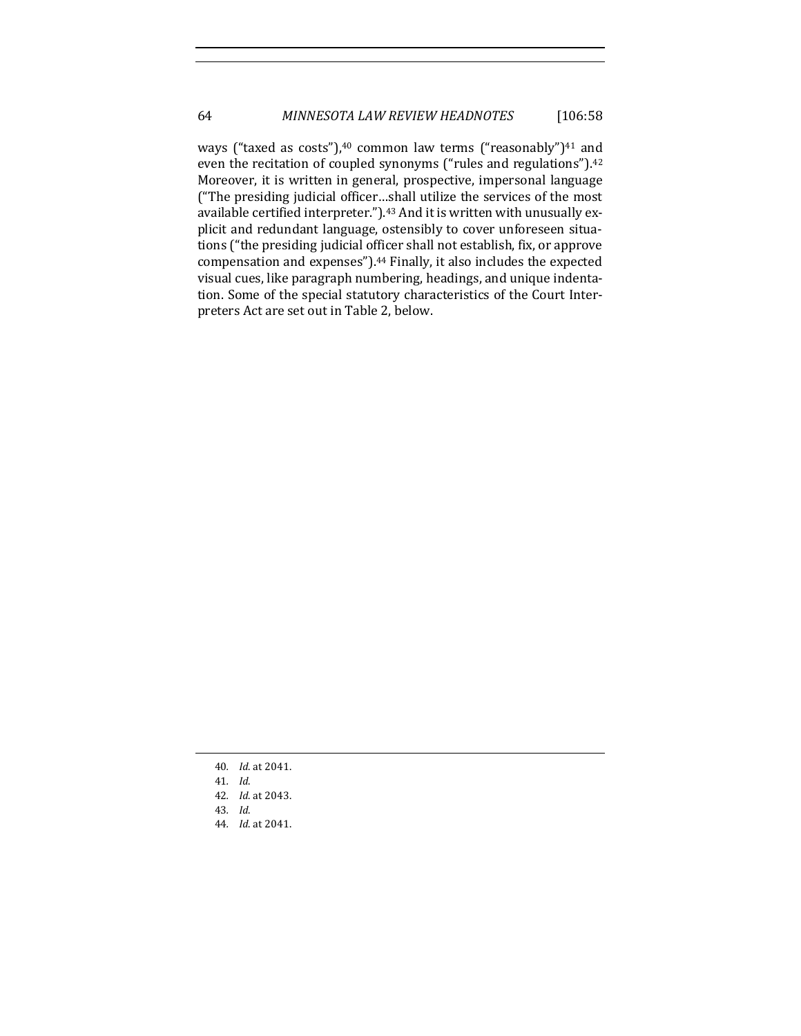ways ("taxed as costs"), $40$  common law terms ("reasonably") $41$  and even the recitation of coupled synonyms ("rules and regulations").<sup>42</sup> Moreover, it is written in general, prospective, impersonal language ("The presiding judicial officer…shall utilize the services of the most available certified interpreter.").<sup>43</sup> And it is written with unusually explicit and redundant language, ostensibly to cover unforeseen situations ("the presiding judicial officer shall not establish, fix, or approve compensation and expenses").<sup>44</sup> Finally, it also includes the expected visual cues, like paragraph numbering, headings, and unique indentation. Some of the special statutory characteristics of the Court Interpreters Act are set out in Table 2, below.

- 40*. Id*. at 2041.
- 41*. Id*.
- 42*. Id*. at 2043.
- 43*. Id*.
- 44*. Id*. at 2041.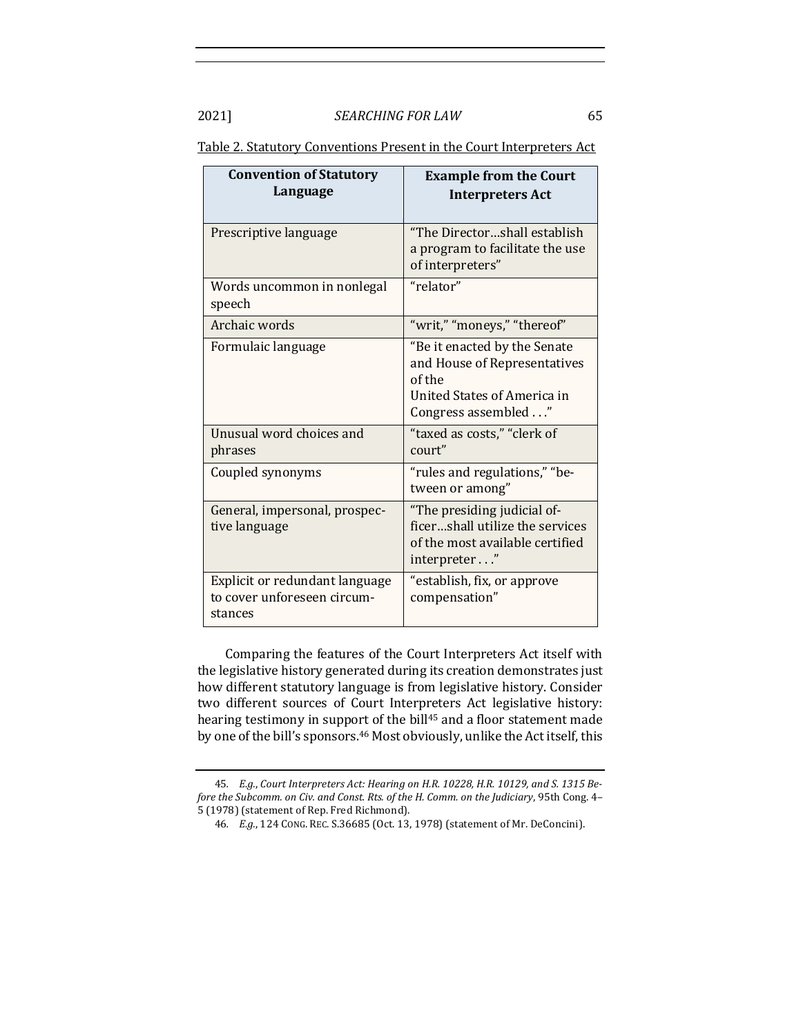| <b>Convention of Statutory</b><br>Language                               | <b>Example from the Court</b><br><b>Interpreters Act</b>                                                                     |
|--------------------------------------------------------------------------|------------------------------------------------------------------------------------------------------------------------------|
| Prescriptive language                                                    | "The Directorshall establish<br>a program to facilitate the use<br>of interpreters"                                          |
| Words uncommon in nonlegal<br>speech                                     | "relator"                                                                                                                    |
| Archaic words                                                            | "writ," "moneys," "thereof"                                                                                                  |
| Formulaic language                                                       | "Be it enacted by the Senate<br>and House of Representatives<br>of the<br>United States of America in<br>Congress assembled" |
| Unusual word choices and<br>phrases                                      | "taxed as costs," "clerk of<br>court"                                                                                        |
| Coupled synonyms                                                         | "rules and regulations," "be-<br>tween or among"                                                                             |
| General, impersonal, prospec-<br>tive language                           | "The presiding judicial of-<br>ficershall utilize the services<br>of the most available certified<br>interpreter"            |
| Explicit or redundant language<br>to cover unforeseen circum-<br>stances | "establish, fix, or approve<br>compensation"                                                                                 |

Table 2. Statutory Conventions Present in the Court Interpreters Act

<span id="page-8-0"></span>Comparing the features of the Court Interpreters Act itself with the legislative history generated during its creation demonstrates just how different statutory language is from legislative history. Consider two different sources of Court Interpreters Act legislative history: hearing testimony in support of the bill<sup>45</sup> and a floor statement made by one of the bill's sponsors.<sup>46</sup> Most obviously, unlike the Act itself, this

<sup>45</sup>*. E.g.*, *Court Interpreters Act: Hearing on H.R. 10228, H.R. 10129, and S. 1315 Before the Subcomm. on Civ. and Const. Rts. of the H. Comm. on the Judiciary*, 95th Cong. 4– 5 (1978) (statement of Rep. Fred Richmond).

<sup>46</sup>*. E.g.*, 124 CONG. REC. S.36685 (Oct. 13, 1978) (statement of Mr. DeConcini).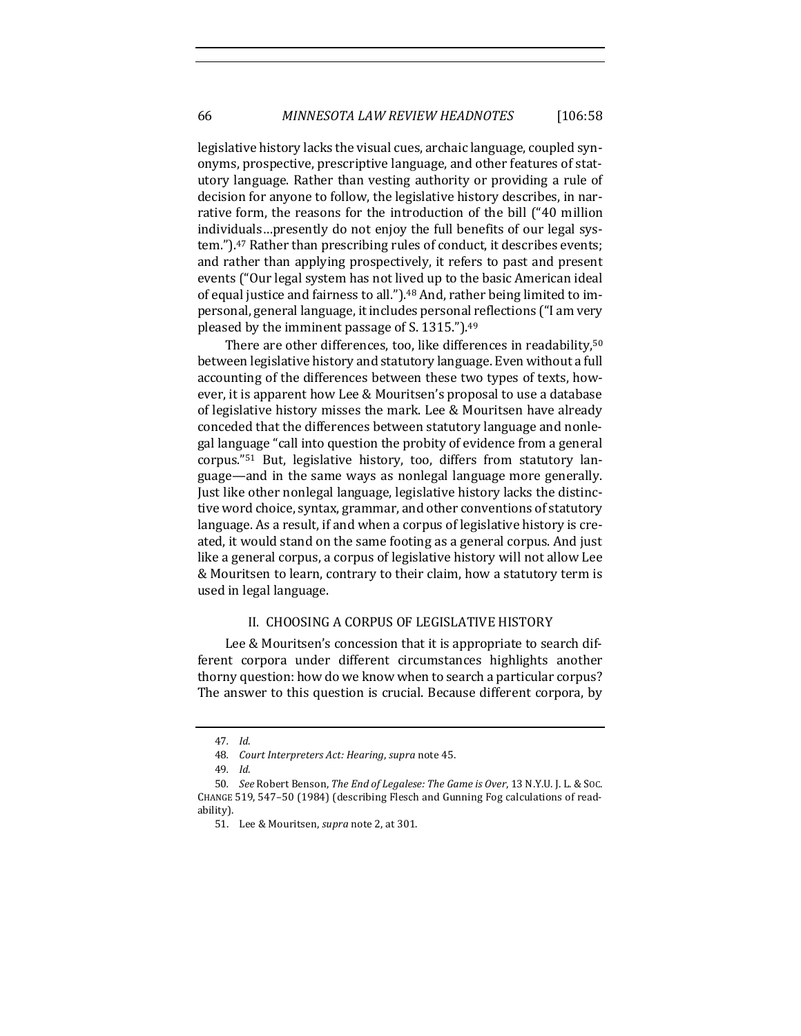legislative history lacks the visual cues, archaic language, coupled synonyms, prospective, prescriptive language, and other features of statutory language. Rather than vesting authority or providing a rule of decision for anyone to follow, the legislative history describes, in narrative form, the reasons for the introduction of the bill ("40 million individuals…presently do not enjoy the full benefits of our legal system.").<sup>47</sup> Rather than prescribing rules of conduct, it describes events; and rather than applying prospectively, it refers to past and present events ("Our legal system has not lived up to the basic American ideal of equal justice and fairness to all.").<sup>48</sup> And, rather being limited to impersonal, general language, it includes personal reflections ("I am very pleased by the imminent passage of S. 1315.").<sup>49</sup>

There are other differences, too, like differences in readability,<sup>50</sup> between legislative history and statutory language. Even without a full accounting of the differences between these two types of texts, however, it is apparent how Lee & Mouritsen's proposal to use a database of legislative history misses the mark. Lee & Mouritsen have already conceded that the differences between statutory language and nonlegal language "call into question the probity of evidence from a general corpus."<sup>51</sup> But, legislative history, too, differs from statutory language—and in the same ways as nonlegal language more generally. Just like other nonlegal language, legislative history lacks the distinctive word choice, syntax, grammar, and other conventions of statutory language. As a result, if and when a corpus of legislative history is created, it would stand on the same footing as a general corpus. And just like a general corpus, a corpus of legislative history will not allow Lee & Mouritsen to learn, contrary to their claim, how a statutory term is used in legal language.

## II. CHOOSING A CORPUS OF LEGISLATIVE HISTORY

Lee & Mouritsen's concession that it is appropriate to search different corpora under different circumstances highlights another thorny question: how do we know when to search a particular corpus? The answer to this question is crucial. Because different corpora, by

<sup>47</sup>*. Id*.

<sup>48</sup>*. Court Interpreters Act: Hearing*, *supra* note [45.](#page-8-0)

<sup>49</sup>*. Id*.

<sup>50</sup>*. See* Robert Benson, *The End of Legalese: The Game is Over*, 13 N.Y.U. J. L. & SOC. CHANGE 519, 547–50 (1984) (describing Flesch and Gunning Fog calculations of readability).

<sup>51.</sup> Lee & Mouritsen, *supra* not[e 2,](#page-1-0) at 301.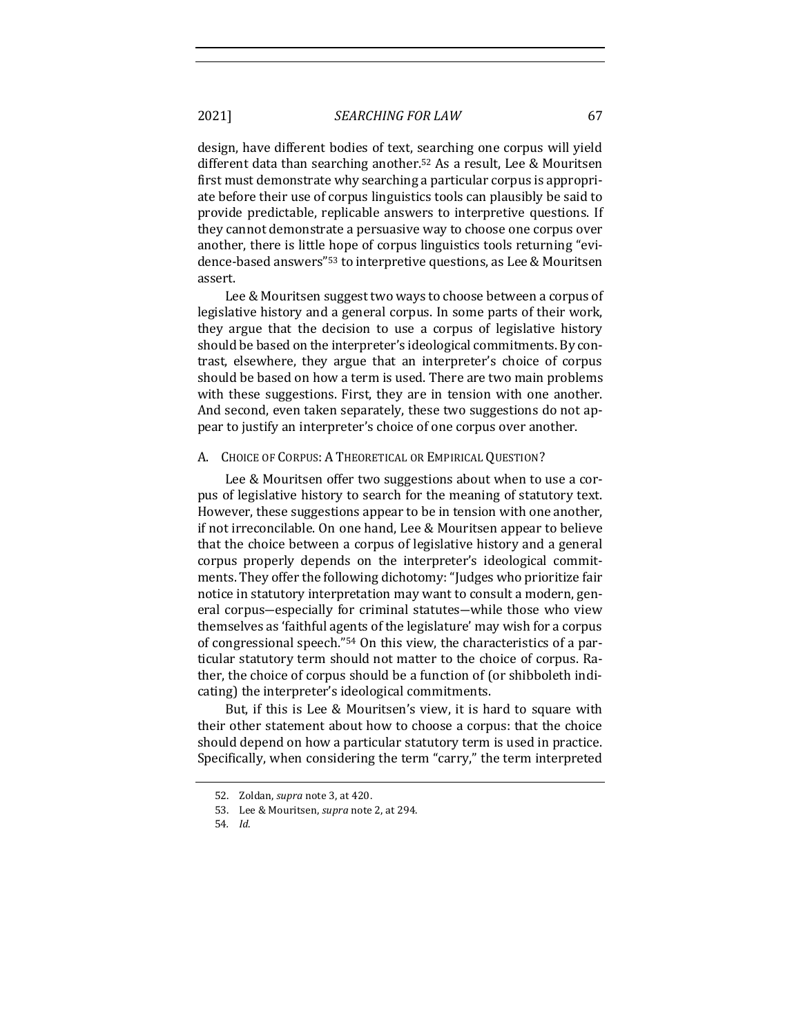design, have different bodies of text, searching one corpus will yield different data than searching another.<sup>52</sup> As a result, Lee & Mouritsen first must demonstrate why searching a particular corpus is appropriate before their use of corpus linguistics tools can plausibly be said to provide predictable, replicable answers to interpretive questions. If they cannot demonstrate a persuasive way to choose one corpus over another, there is little hope of corpus linguistics tools returning "evidence-based answers"<sup>53</sup> to interpretive questions, as Lee & Mouritsen assert.

Lee & Mouritsen suggest two ways to choose between a corpus of legislative history and a general corpus. In some parts of their work, they argue that the decision to use a corpus of legislative history should be based on the interpreter's ideological commitments. By contrast, elsewhere, they argue that an interpreter's choice of corpus should be based on how a term is used. There are two main problems with these suggestions. First, they are in tension with one another. And second, even taken separately, these two suggestions do not appear to justify an interpreter's choice of one corpus over another.

#### A. CHOICE OF CORPUS: A THEORETICAL OR EMPIRICAL QUESTION?

Lee & Mouritsen offer two suggestions about when to use a corpus of legislative history to search for the meaning of statutory text. However, these suggestions appear to be in tension with one another, if not irreconcilable. On one hand, Lee & Mouritsen appear to believe that the choice between a corpus of legislative history and a general corpus properly depends on the interpreter's ideological commitments. They offer the following dichotomy: "Judges who prioritize fair notice in statutory interpretation may want to consult a modern, general corpus―especially for criminal statutes―while those who view themselves as 'faithful agents of the legislature' may wish for a corpus of congressional speech."<sup>54</sup> On this view, the characteristics of a particular statutory term should not matter to the choice of corpus. Rather, the choice of corpus should be a function of (or shibboleth indicating) the interpreter's ideological commitments.

But, if this is Lee & Mouritsen's view, it is hard to square with their other statement about how to choose a corpus: that the choice should depend on how a particular statutory term is used in practice. Specifically, when considering the term "carry," the term interpreted

<sup>52.</sup> Zoldan, *supra* note [3,](#page-1-1) at 420.

<sup>53.</sup> Lee & Mouritsen, *supra* not[e 2,](#page-1-0) at 294.

<sup>54</sup>*. Id*.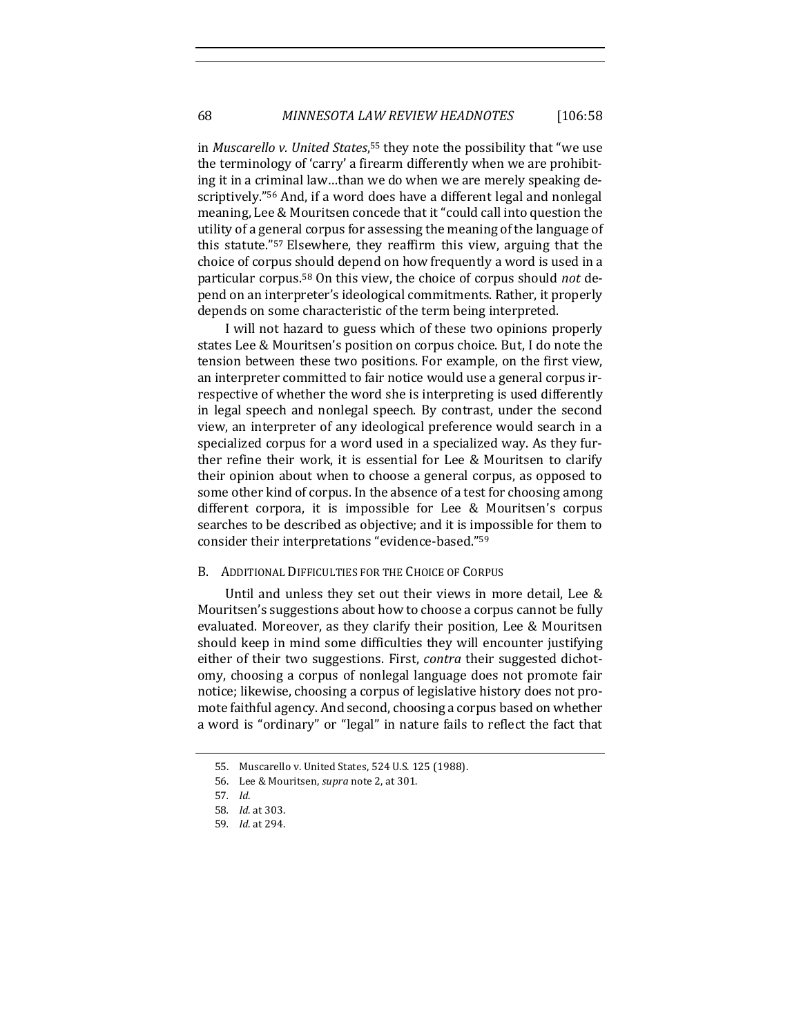## 68 *MINNESOTA LAW REVIEW HEADNOTES* [106:58

in *Muscarello v. United States*, <sup>55</sup> they note the possibility that "we use the terminology of 'carry' a firearm differently when we are prohibiting it in a criminal law…than we do when we are merely speaking descriptively."<sup>56</sup> And, if a word does have a different legal and nonlegal meaning, Lee & Mouritsen concede that it "could call into question the utility of a general corpus for assessing the meaning of the language of this statute."<sup>57</sup> Elsewhere, they reaffirm this view, arguing that the choice of corpus should depend on how frequently a word is used in a particular corpus.<sup>58</sup> On this view, the choice of corpus should *not* depend on an interpreter's ideological commitments. Rather, it properly depends on some characteristic of the term being interpreted.

I will not hazard to guess which of these two opinions properly states Lee & Mouritsen's position on corpus choice. But, I do note the tension between these two positions. For example, on the first view, an interpreter committed to fair notice would use a general corpus irrespective of whether the word she is interpreting is used differently in legal speech and nonlegal speech. By contrast, under the second view, an interpreter of any ideological preference would search in a specialized corpus for a word used in a specialized way. As they further refine their work, it is essential for Lee & Mouritsen to clarify their opinion about when to choose a general corpus, as opposed to some other kind of corpus. In the absence of a test for choosing among different corpora, it is impossible for Lee & Mouritsen's corpus searches to be described as objective; and it is impossible for them to consider their interpretations "evidence-based."<sup>59</sup>

#### B. ADDITIONAL DIFFICULTIES FOR THE CHOICE OF CORPUS

Until and unless they set out their views in more detail, Lee & Mouritsen's suggestions about how to choose a corpus cannot be fully evaluated. Moreover, as they clarify their position, Lee & Mouritsen should keep in mind some difficulties they will encounter justifying either of their two suggestions. First, *contra* their suggested dichotomy, choosing a corpus of nonlegal language does not promote fair notice; likewise, choosing a corpus of legislative history does not promote faithful agency. And second, choosing a corpus based on whether a word is "ordinary" or "legal" in nature fails to reflect the fact that

<sup>55.</sup> Muscarello v. United States, 524 U.S. 125 (1988).

<sup>56.</sup> Lee & Mouritsen, *supra* not[e 2,](#page-1-0) at 301.

<sup>57</sup>*. Id*.

<sup>58</sup>*. Id*. at 303.

<sup>59</sup>*. Id*. at 294.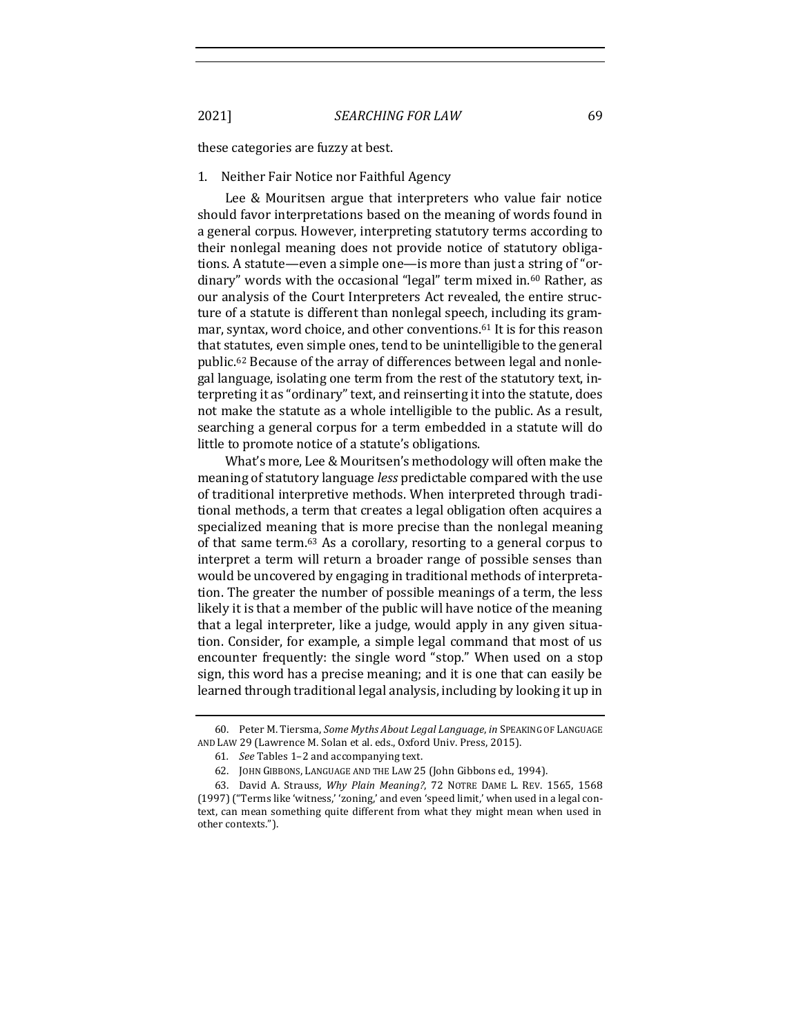these categories are fuzzy at best.

### 1. Neither Fair Notice nor Faithful Agency

Lee & Mouritsen argue that interpreters who value fair notice should favor interpretations based on the meaning of words found in a general corpus. However, interpreting statutory terms according to their nonlegal meaning does not provide notice of statutory obligations. A statute—even a simple one—is more than just a string of "ordinary" words with the occasional "legal" term mixed in.<sup>60</sup> Rather, as our analysis of the Court Interpreters Act revealed, the entire structure of a statute is different than nonlegal speech, including its grammar, syntax, word choice, and other conventions.<sup>61</sup> It is for this reason that statutes, even simple ones, tend to be unintelligible to the general public.<sup>62</sup> Because of the array of differences between legal and nonlegal language, isolating one term from the rest of the statutory text, interpreting it as "ordinary" text, and reinserting it into the statute, does not make the statute as a whole intelligible to the public. As a result, searching a general corpus for a term embedded in a statute will do little to promote notice of a statute's obligations.

<span id="page-12-0"></span>What's more, Lee & Mouritsen's methodology will often make the meaning of statutory language *less* predictable compared with the use of traditional interpretive methods. When interpreted through traditional methods, a term that creates a legal obligation often acquires a specialized meaning that is more precise than the nonlegal meaning of that same term.<sup>63</sup> As a corollary, resorting to a general corpus to interpret a term will return a broader range of possible senses than would be uncovered by engaging in traditional methods of interpretation. The greater the number of possible meanings of a term, the less likely it is that a member of the public will have notice of the meaning that a legal interpreter, like a judge, would apply in any given situation. Consider, for example, a simple legal command that most of us encounter frequently: the single word "stop." When used on a stop sign, this word has a precise meaning; and it is one that can easily be learned through traditional legal analysis, including by looking it up in

<sup>60.</sup> Peter M. Tiersma, *Some Myths About Legal Language*, *in* SPEAKING OF LANGUAGE AND LAW 29 (Lawrence M. Solan et al. eds., Oxford Univ. Press, 2015).

<sup>61</sup>*. See* Tables 1–2 and accompanying text.

<sup>62.</sup> JOHN GIBBONS, LANGUAGE AND THE LAW 25 (John Gibbons ed., 1994).

<sup>63.</sup> David A. Strauss, *Why Plain Meaning?*, 72 NOTRE DAME L. REV. 1565, 1568 (1997) ("Terms like 'witness,' 'zoning,' and even 'speed limit,' when used in a legal context, can mean something quite different from what they might mean when used in other contexts.").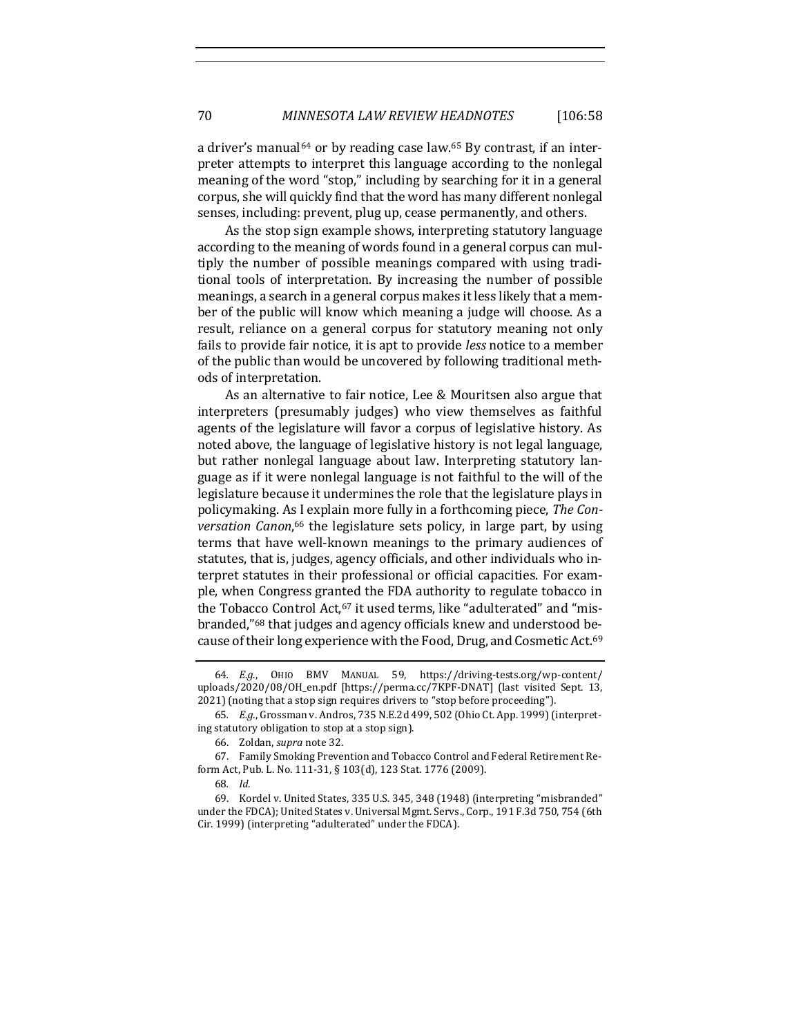a driver's manual<sup>64</sup> or by reading case law.<sup>65</sup> By contrast, if an interpreter attempts to interpret this language according to the nonlegal meaning of the word "stop," including by searching for it in a general corpus, she will quickly find that the word has many different nonlegal senses, including: prevent, plug up, cease permanently, and others.

As the stop sign example shows, interpreting statutory language according to the meaning of words found in a general corpus can multiply the number of possible meanings compared with using traditional tools of interpretation. By increasing the number of possible meanings, a search in a general corpus makes it less likely that a member of the public will know which meaning a judge will choose. As a result, reliance on a general corpus for statutory meaning not only fails to provide fair notice, it is apt to provide *less* notice to a member of the public than would be uncovered by following traditional methods of interpretation.

As an alternative to fair notice, Lee & Mouritsen also argue that interpreters (presumably judges) who view themselves as faithful agents of the legislature will favor a corpus of legislative history. As noted above, the language of legislative history is not legal language, but rather nonlegal language about law. Interpreting statutory language as if it were nonlegal language is not faithful to the will of the legislature because it undermines the role that the legislature plays in policymaking. As I explain more fully in a forthcoming piece, *The Conversation Canon*, <sup>66</sup> the legislature sets policy, in large part, by using terms that have well-known meanings to the primary audiences of statutes, that is, judges, agency officials, and other individuals who interpret statutes in their professional or official capacities. For example, when Congress granted the FDA authority to regulate tobacco in the Tobacco Control Act,<sup>67</sup> it used terms, like "adulterated" and "misbranded,"<sup>68</sup> that judges and agency officials knew and understood because of their long experience with the Food, Drug, and Cosmetic Act.<sup>69</sup>

<sup>64</sup>*. E.g*., OHIO BMV MANUAL 59, https://driving-tests.org/wp-content/ uploads/2020/08/OH\_en.pdf [https://perma.cc/7KPF-DNAT] (last visited Sept. 13, 2021) (noting that a stop sign requires drivers to "stop before proceeding").

<sup>65</sup>*. E.g.*, Grossman v. Andros, 735 N.E.2d 499, 502 (Ohio Ct. App. 1999) (interpreting statutory obligation to stop at a stop sign).

<sup>66.</sup> Zoldan, *supra* note [32.](#page-5-0)

<sup>67.</sup> Family Smoking Prevention and Tobacco Control and Federal Retirement Reform Act, Pub. L. No. 111-31, § 103(d), 123 Stat. 1776 (2009).

<sup>68</sup>*. Id*.

<sup>69.</sup> Kordel v. United States, 335 U.S. 345, 348 (1948) (interpreting "misbranded" under the FDCA); United States v. Universal Mgmt. Servs., Corp., 191 F.3d 750, 754 (6th Cir. 1999) (interpreting "adulterated" under the FDCA).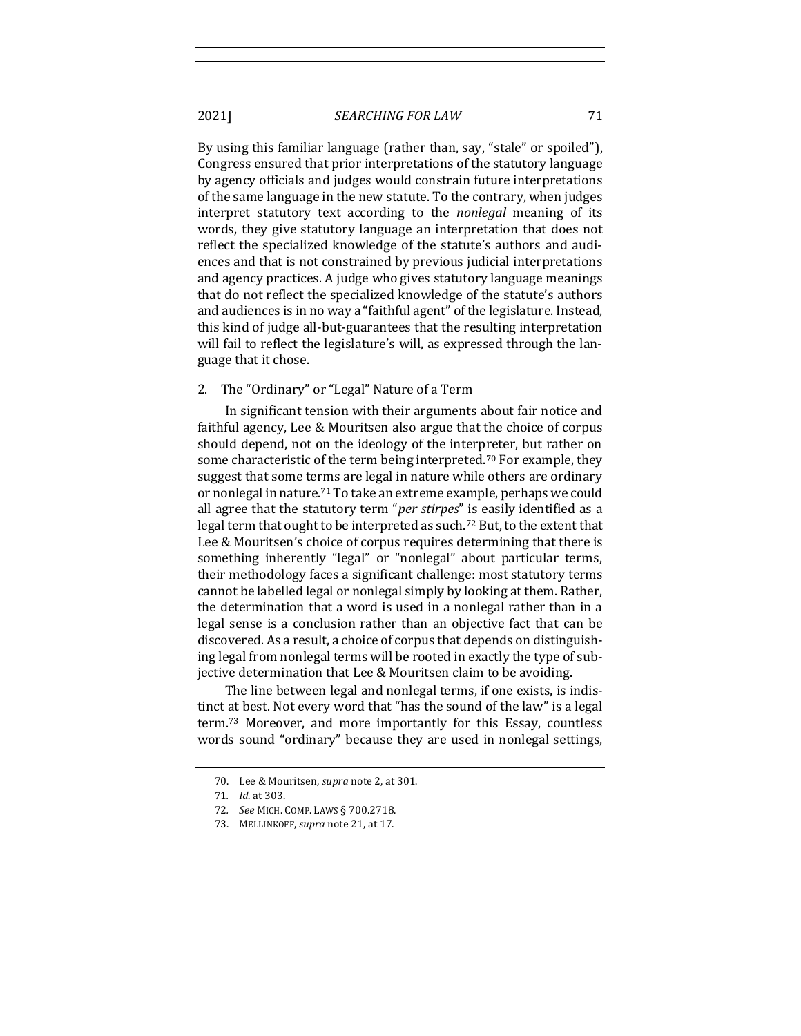By using this familiar language (rather than, say, "stale" or spoiled"), Congress ensured that prior interpretations of the statutory language by agency officials and judges would constrain future interpretations of the same language in the new statute. To the contrary, when judges interpret statutory text according to the *nonlegal* meaning of its words, they give statutory language an interpretation that does not reflect the specialized knowledge of the statute's authors and audiences and that is not constrained by previous judicial interpretations and agency practices. A judge who gives statutory language meanings that do not reflect the specialized knowledge of the statute's authors and audiences is in no way a "faithful agent" of the legislature. Instead, this kind of judge all-but-guarantees that the resulting interpretation will fail to reflect the legislature's will, as expressed through the language that it chose.

## 2. The "Ordinary" or "Legal" Nature of a Term

In significant tension with their arguments about fair notice and faithful agency, Lee & Mouritsen also argue that the choice of corpus should depend, not on the ideology of the interpreter, but rather on some characteristic of the term being interpreted.<sup>70</sup> For example, they suggest that some terms are legal in nature while others are ordinary or nonlegal in nature.<sup>71</sup> To take an extreme example, perhaps we could all agree that the statutory term "*per stirpes*" is easily identified as a legal term that ought to be interpreted as such.<sup>72</sup> But, to the extent that Lee & Mouritsen's choice of corpus requires determining that there is something inherently "legal" or "nonlegal" about particular terms, their methodology faces a significant challenge: most statutory terms cannot be labelled legal or nonlegal simply by looking at them. Rather, the determination that a word is used in a nonlegal rather than in a legal sense is a conclusion rather than an objective fact that can be discovered. As a result, a choice of corpus that depends on distinguishing legal from nonlegal terms will be rooted in exactly the type of subjective determination that Lee & Mouritsen claim to be avoiding.

The line between legal and nonlegal terms, if one exists, is indistinct at best. Not every word that "has the sound of the law" is a legal term.<sup>73</sup> Moreover, and more importantly for this Essay, countless words sound "ordinary" because they are used in nonlegal settings,

<sup>70.</sup> Lee & Mouritsen, *supra* not[e 2,](#page-1-0) at 301.

<sup>71</sup>*. Id*. at 303.

<sup>72</sup>*. See* MICH. COMP. LAWS § 700.2718.

<sup>73.</sup> MELLINKOFF, *supra* note [21,](#page-4-0) at 17.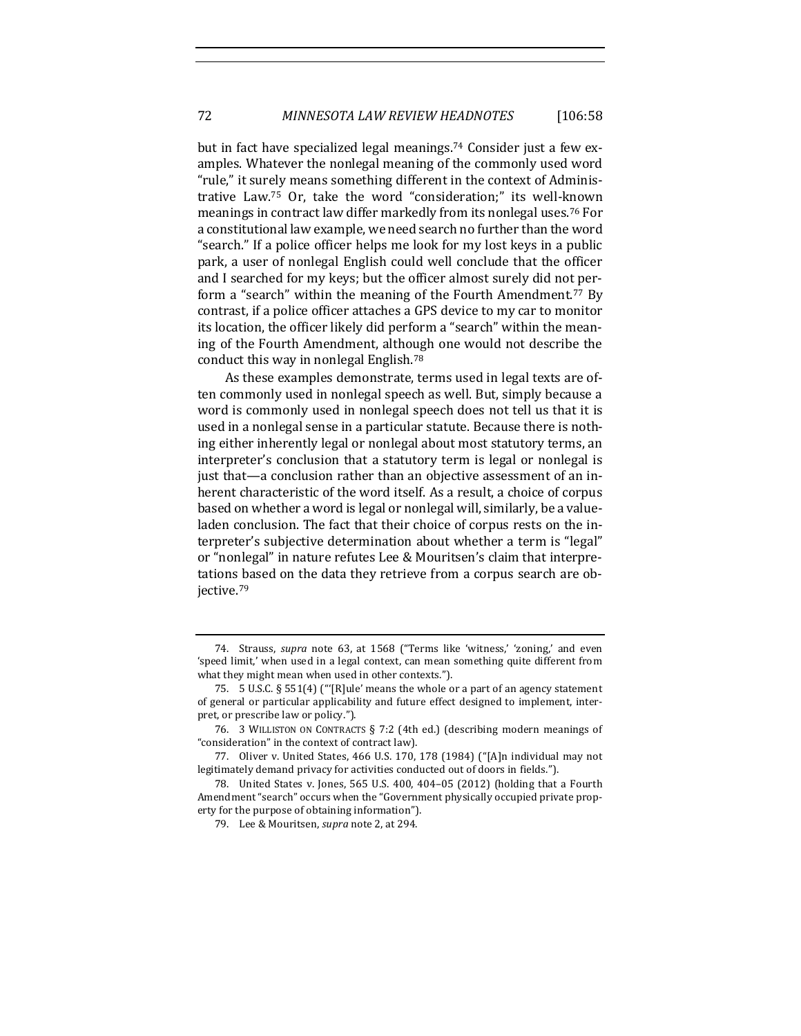but in fact have specialized legal meanings.<sup>74</sup> Consider just a few examples. Whatever the nonlegal meaning of the commonly used word "rule," it surely means something different in the context of Administrative Law.<sup>75</sup> Or, take the word "consideration;" its well-known meanings in contract law differ markedly from its nonlegal uses.<sup>76</sup> For a constitutional law example, we need search no further than the word "search." If a police officer helps me look for my lost keys in a public park, a user of nonlegal English could well conclude that the officer and I searched for my keys; but the officer almost surely did not perform a "search" within the meaning of the Fourth Amendment.<sup>77</sup> By contrast, if a police officer attaches a GPS device to my car to monitor its location, the officer likely did perform a "search" within the meaning of the Fourth Amendment, although one would not describe the conduct this way in nonlegal English.<sup>78</sup>

As these examples demonstrate, terms used in legal texts are often commonly used in nonlegal speech as well. But, simply because a word is commonly used in nonlegal speech does not tell us that it is used in a nonlegal sense in a particular statute. Because there is nothing either inherently legal or nonlegal about most statutory terms, an interpreter's conclusion that a statutory term is legal or nonlegal is just that—a conclusion rather than an objective assessment of an inherent characteristic of the word itself. As a result, a choice of corpus based on whether a word is legal or nonlegal will, similarly, be a valueladen conclusion. The fact that their choice of corpus rests on the interpreter's subjective determination about whether a term is "legal" or "nonlegal" in nature refutes Lee & Mouritsen's claim that interpretations based on the data they retrieve from a corpus search are objective.<sup>79</sup>

<sup>74.</sup> Strauss, *supra* note [63,](#page-12-0) at 1568 ("Terms like 'witness,' 'zoning,' and even 'speed limit,' when used in a legal context, can mean something quite different from what they might mean when used in other contexts.").

<sup>75.</sup> 5 U.S.C. § 551(4) ("'[R]ule' means the whole or a part of an agency statement of general or particular applicability and future effect designed to implement, interpret, or prescribe law or policy.").

<sup>76.</sup> 3 WILLISTON ON CONTRACTS § 7:2 (4th ed.) (describing modern meanings of "consideration" in the context of contract law).

<sup>77.</sup> Oliver v. United States, 466 U.S. 170, 178 (1984) ("[A]n individual may not legitimately demand privacy for activities conducted out of doors in fields.").

<sup>78.</sup> United States v. Jones, 565 U.S. 400, 404–05 (2012) (holding that a Fourth Amendment "search" occurs when the "Government physically occupied private property for the purpose of obtaining information").

<sup>79.</sup> Lee & Mouritsen, *supra* not[e 2,](#page-1-0) at 294.